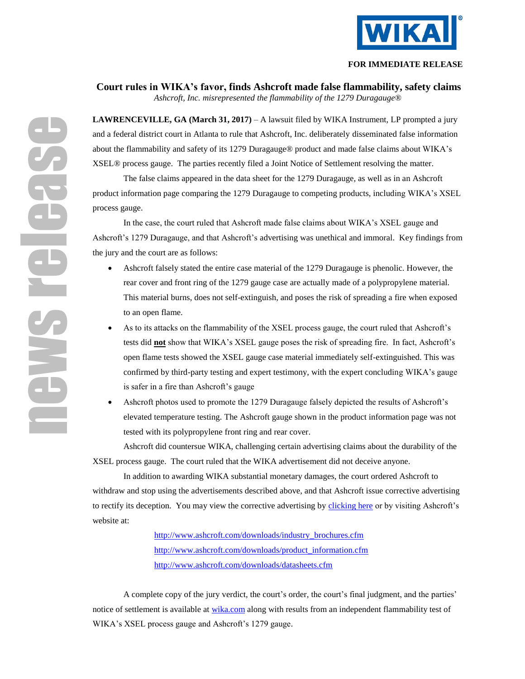

## **FOR IMMEDIATE RELEASE**

**Court rules in WIKA's favor, finds Ashcroft made false flammability, safety claims** *Ashcroft, Inc. misrepresented the flammability of the 1279 Duragauge*®

**LAWRENCEVILLE, GA (March 31, 2017)** – A lawsuit filed by WIKA Instrument, LP prompted a jury and a federal district court in Atlanta to rule that Ashcroft, Inc. deliberately disseminated false information about the flammability and safety of its 1279 Duragauge® product and made false claims about WIKA's XSEL® process gauge. The parties recently filed a Joint Notice of Settlement resolving the matter.

The false claims appeared in the data sheet for the 1279 Duragauge, as well as in an Ashcroft product information page comparing the 1279 Duragauge to competing products, including WIKA's XSEL process gauge.

In the case, the court ruled that Ashcroft made false claims about WIKA's XSEL gauge and Ashcroft's 1279 Duragauge, and that Ashcroft's advertising was unethical and immoral. Key findings from the jury and the court are as follows:

- Ashcroft falsely stated the entire case material of the 1279 Duragauge is phenolic. However, the rear cover and front ring of the 1279 gauge case are actually made of a polypropylene material. This material burns, does not self-extinguish, and poses the risk of spreading a fire when exposed to an open flame.
- As to its attacks on the flammability of the XSEL process gauge, the court ruled that Ashcroft's tests did **not** show that WIKA's XSEL gauge poses the risk of spreading fire. In fact, Ashcroft's open flame tests showed the XSEL gauge case material immediately self-extinguished. This was confirmed by third-party testing and expert testimony, with the expert concluding WIKA's gauge is safer in a fire than Ashcroft's gauge
- Ashcroft photos used to promote the 1279 Duragauge falsely depicted the results of Ashcroft's elevated temperature testing. The Ashcroft gauge shown in the product information page was not tested with its polypropylene front ring and rear cover.

Ashcroft did countersue WIKA, challenging certain advertising claims about the durability of the XSEL process gauge. The court ruled that the WIKA advertisement did not deceive anyone.

In addition to awarding WIKA substantial monetary damages, the court ordered Ashcroft to withdraw and stop using the advertisements described above, and that Ashcroft issue corrective advertising to rectify its deception. You may view the corrective advertising by [clicking here](http://www.wika.us/upload/ZZ_Ashcroft_Corrective_Advertising_en_us_82017.pdf) or by visiting Ashcroft's website at:

> [http://www.ashcroft.com/downloads/industry\\_brochures.cfm](http://www.ashcroft.com/downloads/industry_brochures.cfm) [http://www.ashcroft.com/downloads/product\\_information.cfm](http://www.ashcroft.com/downloads/product_information.cfm) <http://www.ashcroft.com/downloads/datasheets.cfm>

A complete copy of the jury verdict, the court's order, the court's final judgment, and the parties' notice of settlement is available at [wika.com](http://www.wika.us/landingpage_wika_v_ashcroft_en_us.WIKA) along with results from an independent flammability test of WIKA's XSEL process gauge and Ashcroft's 1279 gauge.